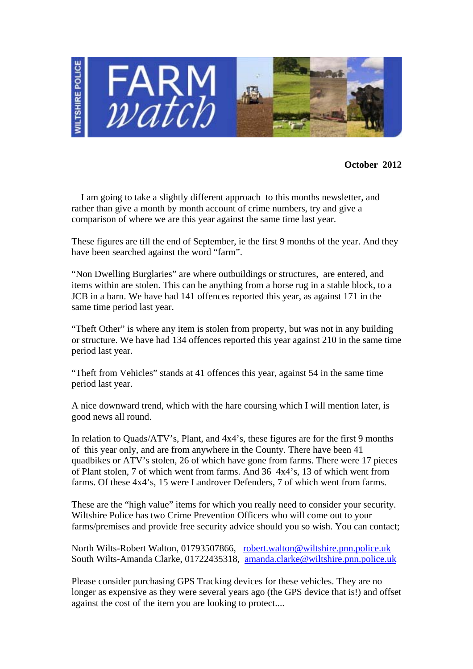

**October 2012** 

 I am going to take a slightly different approach to this months newsletter, and rather than give a month by month account of crime numbers, try and give a comparison of where we are this year against the same time last year.

These figures are till the end of September, ie the first 9 months of the year. And they have been searched against the word "farm".

"Non Dwelling Burglaries" are where outbuildings or structures, are entered, and items within are stolen. This can be anything from a horse rug in a stable block, to a JCB in a barn. We have had 141 offences reported this year, as against 171 in the same time period last year.

"Theft Other" is where any item is stolen from property, but was not in any building or structure. We have had 134 offences reported this year against 210 in the same time period last year.

"Theft from Vehicles" stands at 41 offences this year, against 54 in the same time period last year.

A nice downward trend, which with the hare coursing which I will mention later, is good news all round.

In relation to Quads/ATV's, Plant, and 4x4's, these figures are for the first 9 months of this year only, and are from anywhere in the County. There have been 41 quadbikes or ATV's stolen, 26 of which have gone from farms. There were 17 pieces of Plant stolen, 7 of which went from farms. And 36 4x4's, 13 of which went from farms. Of these 4x4's, 15 were Landrover Defenders, 7 of which went from farms.

These are the "high value" items for which you really need to consider your security. Wiltshire Police has two Crime Prevention Officers who will come out to your farms/premises and provide free security advice should you so wish. You can contact;

North Wilts-Robert Walton, 01793507866, robert.walton@wiltshire.pnn.police.uk South Wilts-Amanda Clarke, 01722435318, amanda.clarke@wiltshire.pnn.police.uk

Please consider purchasing GPS Tracking devices for these vehicles. They are no longer as expensive as they were several years ago (the GPS device that is!) and offset against the cost of the item you are looking to protect....